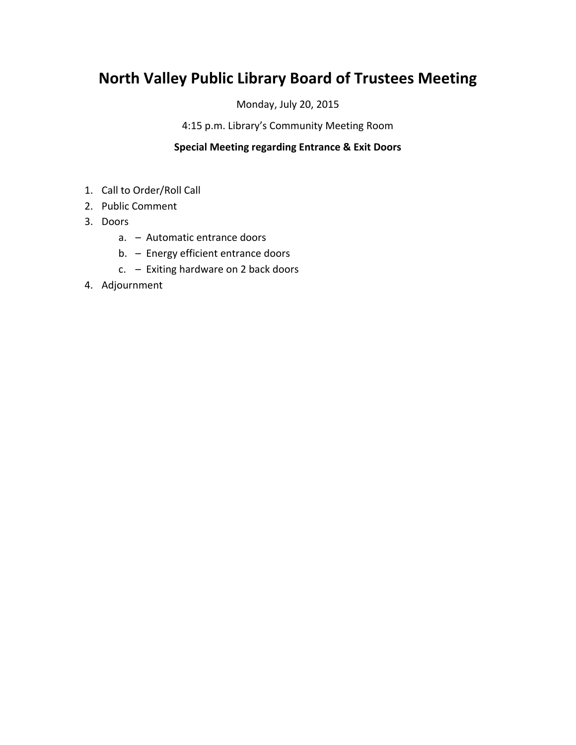## **North Valley Public Library Board of Trustees Meeting**

Monday, July 20, 2015

4:15 p.m. Library's Community Meeting Room

## **Special Meeting regarding Entrance & Exit Doors**

- 1. Call to Order/Roll Call
- 2. Public Comment
- 3. Doors
	- a. Automatic entrance doors
	- b. Energy efficient entrance doors
	- c. Exiting hardware on 2 back doors
- 4. Adjournment